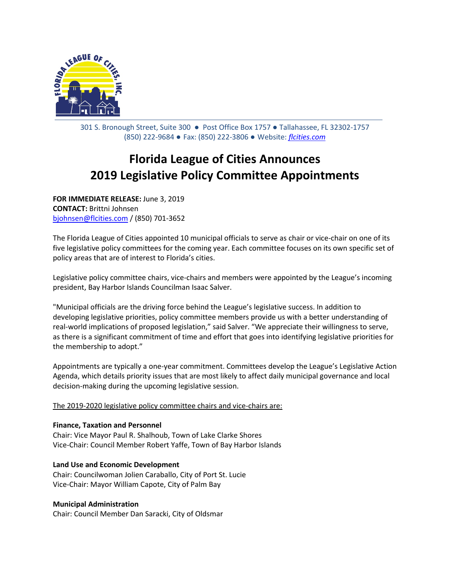

301 S. Bronough Street, Suite 300 ● Post Office Box 1757 ● Tallahassee, FL 32302-1757 (850) 222-9684 ● Fax: (850) 222-3806 ● Website: *[flcities.com](http://www.flcities.com/)*

# **Florida League of Cities Announces 2019 Legislative Policy Committee Appointments**

**FOR IMMEDIATE RELEASE:** June 3, 2019 **CONTACT:** Brittni Johnsen [bjohnsen@flcities.com](mailto:bjohnsen@flcities.com) / (850) 701-3652

The Florida League of Cities appointed 10 municipal officials to serve as chair or vice-chair on one of its five legislative policy committees for the coming year. Each committee focuses on its own specific set of policy areas that are of interest to Florida's cities.

Legislative policy committee chairs, vice-chairs and members were appointed by the League's incoming president, Bay Harbor Islands Councilman Isaac Salver.

"Municipal officials are the driving force behind the League's legislative success. In addition to developing legislative priorities, policy committee members provide us with a better understanding of real-world implications of proposed legislation," said Salver. "We appreciate their willingness to serve, as there is a significant commitment of time and effort that goes into identifying legislative priorities for the membership to adopt."

Appointments are typically a one-year commitment. Committees develop the League's Legislative Action Agenda, which details priority issues that are most likely to affect daily municipal governance and local decision-making during the upcoming legislative session.

The 2019-2020 legislative policy committee chairs and vice-chairs are:

## **Finance, Taxation and Personnel**

Chair: Vice Mayor Paul R. Shalhoub, Town of Lake Clarke Shores Vice-Chair: Council Member Robert Yaffe, Town of Bay Harbor Islands

**Land Use and Economic Development**

Chair: Councilwoman Jolien Caraballo, City of Port St. Lucie Vice-Chair: Mayor William Capote, City of Palm Bay

### **Municipal Administration**

Chair: Council Member Dan Saracki, City of Oldsmar